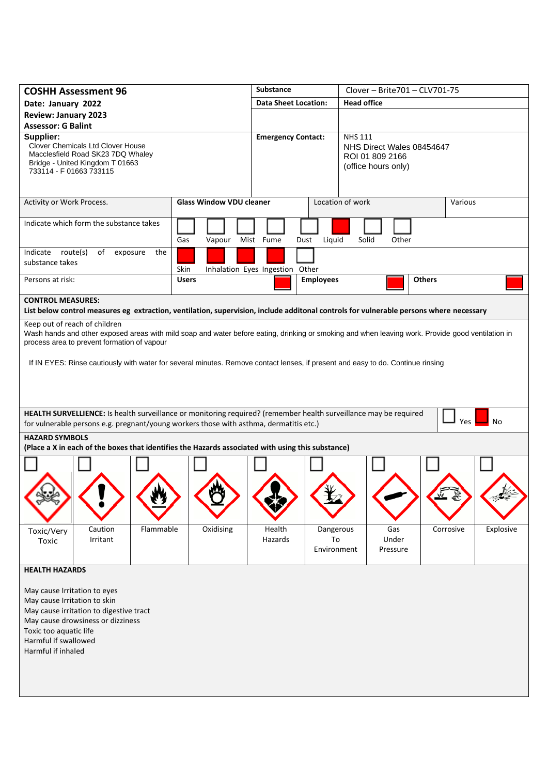| <b>COSHH Assessment 96</b>                                                                                                                                                                                                                                                                                                                                           |                                                                                                   | <b>Substance</b> |      | Clover - Brite 701 - CLV 701-75  |                             |                                 |                                                                                       |                          |                                                                                                                                        |           |  |
|----------------------------------------------------------------------------------------------------------------------------------------------------------------------------------------------------------------------------------------------------------------------------------------------------------------------------------------------------------------------|---------------------------------------------------------------------------------------------------|------------------|------|----------------------------------|-----------------------------|---------------------------------|---------------------------------------------------------------------------------------|--------------------------|----------------------------------------------------------------------------------------------------------------------------------------|-----------|--|
| Date: January 2022                                                                                                                                                                                                                                                                                                                                                   |                                                                                                   |                  |      |                                  | <b>Data Sheet Location:</b> |                                 | <b>Head office</b>                                                                    |                          |                                                                                                                                        |           |  |
| <b>Review: January 2023</b>                                                                                                                                                                                                                                                                                                                                          |                                                                                                   |                  |      |                                  |                             |                                 |                                                                                       |                          |                                                                                                                                        |           |  |
| <b>Assessor: G Balint</b>                                                                                                                                                                                                                                                                                                                                            |                                                                                                   |                  |      |                                  |                             |                                 |                                                                                       |                          |                                                                                                                                        |           |  |
| Supplier:<br>Clover Chemicals Ltd Clover House<br>Macclesfield Road SK23 7DQ Whaley<br>Bridge - United Kingdom T 01663<br>733114 - F 01663 733115                                                                                                                                                                                                                    |                                                                                                   |                  |      |                                  | <b>Emergency Contact:</b>   |                                 | <b>NHS 111</b><br>NHS Direct Wales 08454647<br>ROI 01 809 2166<br>(office hours only) |                          |                                                                                                                                        |           |  |
| Activity or Work Process.                                                                                                                                                                                                                                                                                                                                            |                                                                                                   |                  |      | <b>Glass Window VDU cleaner</b>  |                             |                                 | Location of work                                                                      |                          |                                                                                                                                        | Various   |  |
| Indicate which form the substance takes                                                                                                                                                                                                                                                                                                                              |                                                                                                   |                  | Gas  | Vapour                           | Mist Fume                   | Dust<br>Liquid                  | Solid                                                                                 | Other                    |                                                                                                                                        |           |  |
| Indicate route(s)<br>of exposure<br>the                                                                                                                                                                                                                                                                                                                              |                                                                                                   |                  |      |                                  |                             |                                 |                                                                                       |                          |                                                                                                                                        |           |  |
| substance takes                                                                                                                                                                                                                                                                                                                                                      |                                                                                                   |                  | Skin |                                  |                             | Inhalation Eyes Ingestion Other |                                                                                       | <b>Others</b>            |                                                                                                                                        |           |  |
| Persons at risk:                                                                                                                                                                                                                                                                                                                                                     |                                                                                                   |                  |      | <b>Employees</b><br><b>Users</b> |                             |                                 |                                                                                       |                          |                                                                                                                                        |           |  |
| <b>CONTROL MEASURES:</b>                                                                                                                                                                                                                                                                                                                                             |                                                                                                   |                  |      |                                  |                             |                                 |                                                                                       |                          | List below control measures eg extraction, ventilation, supervision, include additonal controls for vulnerable persons where necessary |           |  |
| Keep out of reach of children<br>Wash hands and other exposed areas with mild soap and water before eating, drinking or smoking and when leaving work. Provide good ventilation in<br>process area to prevent formation of vapour<br>If IN EYES: Rinse cautiously with water for several minutes. Remove contact lenses, if present and easy to do. Continue rinsing |                                                                                                   |                  |      |                                  |                             |                                 |                                                                                       |                          |                                                                                                                                        |           |  |
| HEALTH SURVELLIENCE: Is health surveillance or monitoring required? (remember health surveillance may be required<br>Yes<br>No<br>for vulnerable persons e.g. pregnant/young workers those with asthma, dermatitis etc.)                                                                                                                                             |                                                                                                   |                  |      |                                  |                             |                                 |                                                                                       |                          |                                                                                                                                        |           |  |
| <b>HAZARD SYMBOLS</b>                                                                                                                                                                                                                                                                                                                                                | (Place a X in each of the boxes that identifies the Hazards associated with using this substance) |                  |      |                                  |                             |                                 |                                                                                       |                          |                                                                                                                                        |           |  |
|                                                                                                                                                                                                                                                                                                                                                                      |                                                                                                   |                  |      |                                  |                             |                                 |                                                                                       |                          |                                                                                                                                        |           |  |
|                                                                                                                                                                                                                                                                                                                                                                      |                                                                                                   |                  |      |                                  |                             |                                 |                                                                                       |                          |                                                                                                                                        |           |  |
| Toxic/Very<br>Toxic                                                                                                                                                                                                                                                                                                                                                  | Caution<br>Irritant                                                                               | Flammable        |      | Oxidising                        | Health<br>Hazards           | Dangerous<br>To<br>Environment  |                                                                                       | Gas<br>Under<br>Pressure | Corrosive                                                                                                                              | Explosive |  |
| <b>HEALTH HAZARDS</b>                                                                                                                                                                                                                                                                                                                                                |                                                                                                   |                  |      |                                  |                             |                                 |                                                                                       |                          |                                                                                                                                        |           |  |
| May cause Irritation to eyes<br>May cause Irritation to skin<br>Toxic too aquatic life<br>Harmful if swallowed<br>Harmful if inhaled                                                                                                                                                                                                                                 | May cause irritation to digestive tract<br>May cause drowsiness or dizziness                      |                  |      |                                  |                             |                                 |                                                                                       |                          |                                                                                                                                        |           |  |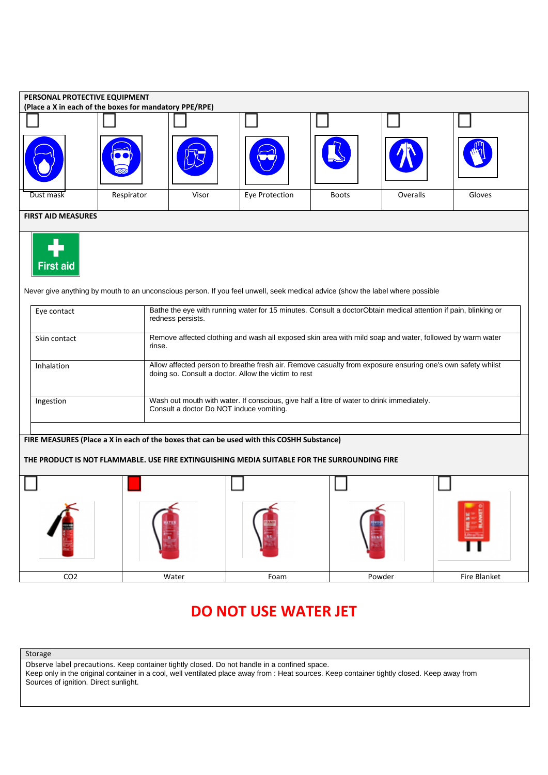| PERSONAL PROTECTIVE EQUIPMENT<br>(Place a X in each of the boxes for mandatory PPE/RPE)                                                                                                   |            |                                                                                                                                                                    |                |              |          |              |  |  |  |  |  |
|-------------------------------------------------------------------------------------------------------------------------------------------------------------------------------------------|------------|--------------------------------------------------------------------------------------------------------------------------------------------------------------------|----------------|--------------|----------|--------------|--|--|--|--|--|
|                                                                                                                                                                                           |            |                                                                                                                                                                    |                |              |          |              |  |  |  |  |  |
|                                                                                                                                                                                           |            |                                                                                                                                                                    |                |              |          |              |  |  |  |  |  |
| Dust mask                                                                                                                                                                                 | Respirator | Visor                                                                                                                                                              | Eye Protection | <b>Boots</b> | Overalls | Gloves       |  |  |  |  |  |
| <b>FIRST AID MEASURES</b>                                                                                                                                                                 |            |                                                                                                                                                                    |                |              |          |              |  |  |  |  |  |
| <b>First aid</b><br>Never give anything by mouth to an unconscious person. If you feel unwell, seek medical advice (show the label where possible                                         |            |                                                                                                                                                                    |                |              |          |              |  |  |  |  |  |
| Eye contact                                                                                                                                                                               |            | Bathe the eye with running water for 15 minutes. Consult a doctorObtain medical attention if pain, blinking or<br>redness persists.                                |                |              |          |              |  |  |  |  |  |
| Skin contact                                                                                                                                                                              |            | Remove affected clothing and wash all exposed skin area with mild soap and water, followed by warm water<br>rinse.                                                 |                |              |          |              |  |  |  |  |  |
| Inhalation                                                                                                                                                                                |            | Allow affected person to breathe fresh air. Remove casualty from exposure ensuring one's own safety whilst<br>doing so. Consult a doctor. Allow the victim to rest |                |              |          |              |  |  |  |  |  |
| Ingestion                                                                                                                                                                                 |            | Wash out mouth with water. If conscious, give half a litre of water to drink immediately.<br>Consult a doctor Do NOT induce vomiting.                              |                |              |          |              |  |  |  |  |  |
| FIRE MEASURES (Place a X in each of the boxes that can be used with this COSHH Substance)<br>THE PRODUCT IS NOT FLAMMABLE. USE FIRE EXTINGUISHING MEDIA SUITABLE FOR THE SURROUNDING FIRE |            |                                                                                                                                                                    |                |              |          |              |  |  |  |  |  |
|                                                                                                                                                                                           |            |                                                                                                                                                                    |                |              |          |              |  |  |  |  |  |
| CO <sub>2</sub>                                                                                                                                                                           |            | Water                                                                                                                                                              | Foam           |              | Powder   | Fire Blanket |  |  |  |  |  |

## **DO NOT USE WATER JET**

Storage

Observe label precautions. Keep container tightly closed. Do not handle in a confined space. Keep only in the original container in a cool, well ventilated place away from : Heat sources. Keep container tightly closed. Keep away from Sources of ignition. Direct sunlight.